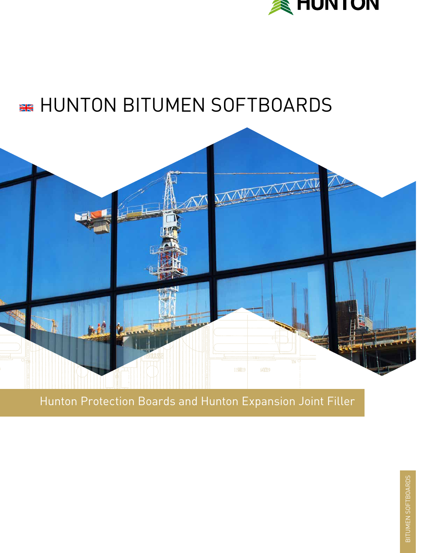

# **Example HUNTON BITUMEN SOFTBOARDS**



## Hunton Protection Boards and Hunton Expansion Joint Filler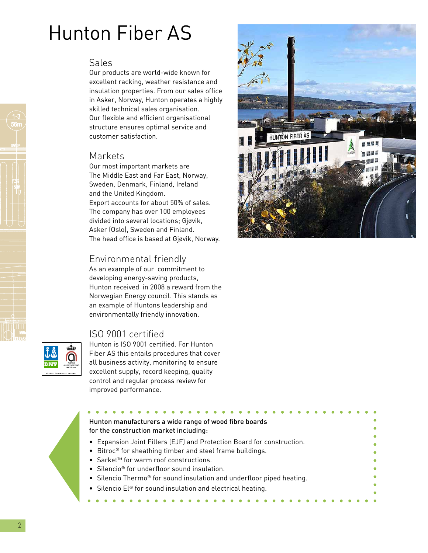# Hunton Fiber AS

### Sales

Our products are world-wide known for excellent racking, weather resistance and insulation properties. From our sales office in Asker, Norway, Hunton operates a highly skilled technical sales organisation. Our flexible and efficient organisational structure ensures optimal service and customer satisfaction.

### Markets

Our most important markets are The Middle East and Far East, Norway, Sweden, Denmark, Finland, Ireland and the United Kingdom. Export accounts for about 50% of sales. The company has over 100 employees divided into several locations; Gjøvik, Asker (Oslo), Sweden and Finland. The head office is based at Gjøvik, Norway.

### Environmental friendly

As an example of our commitment to developing energy-saving products, Hunton received in 2008 a reward from the Norwegian Energy council. This stands as an example of Huntons leadership and environmentally friendly innovation.

### ISO 9001 certifi ed

يبلو

Hunton is ISO 9001 certified. For Hunton Fiber AS this entails procedures that cover all business activity, monitoring to ensure excellent supply, record keeping, quality control and regular process review for





- Bitroc® for sheathing timber and steel frame buildings.
- Sarket™ for warm roof constructions.
- Silencio<sup>®</sup> for underfloor sound insulation.
- Silencio Thermo<sup>®</sup> for sound insulation and underfloor piped heating.
- Silencio El® for sound insulation and electrical heating.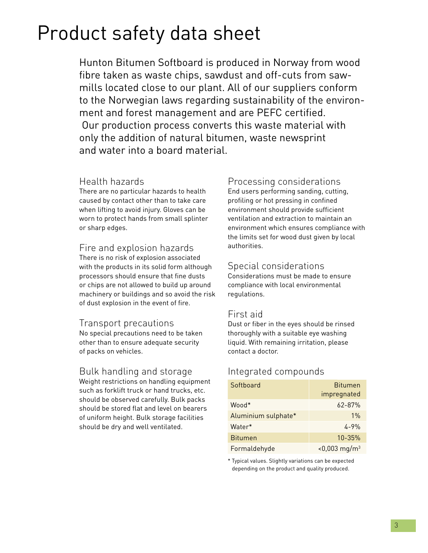# Product safety data sheet

Hunton Bitumen Softboard is produced in Norway from wood fibre taken as waste chips, sawdust and off-cuts from sawmills located close to our plant. All of our suppliers conform to the Norwegian laws regarding sustainability of the environment and forest management and are PEFC certified. Our production process converts this waste material with only the addition of natural bitumen, waste newsprint and water into a board material.

### Health hazards

There are no particular hazards to health caused by contact other than to take care when lifting to avoid injury. Gloves can be worn to protect hands from small splinter or sharp edges.

### Fire and explosion hazards

There is no risk of explosion associated with the products in its solid form although processors should ensure that fine dusts or chips are not allowed to build up around machinery or buildings and so avoid the risk of dust explosion in the event of fire.

### Transport precautions

No special precautions need to be taken other than to ensure adequate security of packs on vehicles.

### Bulk handling and storage

Weight restrictions on handling equipment such as forklift truck or hand trucks, etc. should be observed carefully. Bulk packs should be stored flat and level on bearers of uniform height. Bulk storage facilities should be dry and well ventilated.

### Processing considerations

End users performing sanding, cutting, profiling or hot pressing in confined environment should provide sufficient ventilation and extraction to maintain an environment which ensures compliance with the limits set for wood dust given by local authorities.

### Special considerations

Considerations must be made to ensure compliance with local environmental regulations.

### First aid

Dust or fiber in the eyes should be rinsed thoroughly with a suitable eye washing liquid. With remaining irritation, please contact a doctor.

### Integrated compounds

| Softboard           | <b>Bitumen</b>              |  |
|---------------------|-----------------------------|--|
|                     | impregnated                 |  |
| *Mood               | $62 - 87%$                  |  |
| Aluminium sulphate* | $1\%$                       |  |
| Water*              | $4 - 9%$                    |  |
| <b>Bitumen</b>      | $10 - 35%$                  |  |
| Formaldehyde        | $< 0,003$ mg/m <sup>3</sup> |  |

\* Typical values. Slightly variations can be expected depending on the product and quality produced.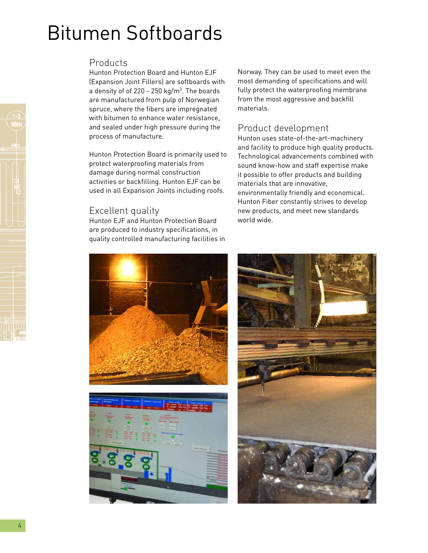# Bitumen Softboards

### Products

Hunton Protection Board and Hunton EJF (Expansion Joint Fillers) are softboards with a density of of 220 - 250 kg/m<sup>3</sup>. The boards are manufactured from pulp of Norwegian spruce, where the fibers are impregnated with bitumen to enhance water resistance, and sealed under high pressure during the process of manufacture.

Hunton Protection Board is primarily used to protect waterproofing materials from damage during normal construction activities or backfilling. Hunton EJF can be used in all Expansion Joints including roofs.

### Excellent quality

Hunton EJF and Hunton Protection Board are produced to industry specifications, in quality controlled manufacturing facilities in Norway. They can be used to meet even the most demanding of specifications and will fully protect the waterproofing membrane from the most aggressive and backfill materials.

### Product development

Hunton uses state-of-the-art-machinery and facility to produce high quality products. Technological advancements combined with sound know-how and staff expertise make it possible to offer products and building materials that are innovative, environmentally friendly and economical. Hunton Fiber constantly strives to develop new products, and meet new standards world wide.



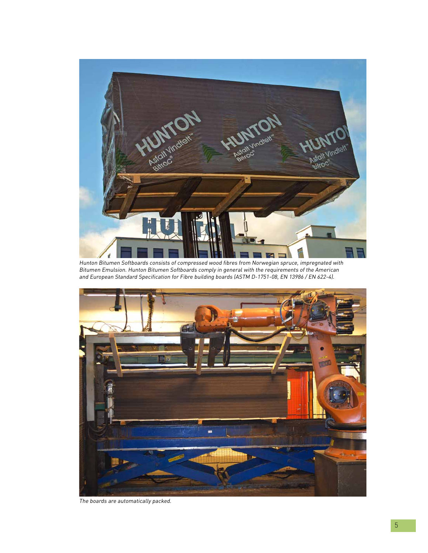

Hunton Bitumen Softboards consists of compressed wood fibres from Norwegian spruce, impregnated with Bitumen Emulsion. Hunton Bitumen Softboards comply in general with the requirements of the American and European Standard Specification for Fibre building boards (ASTM D-1751-08, EN 13986 / EN 622-4).



The boards are automatically packed.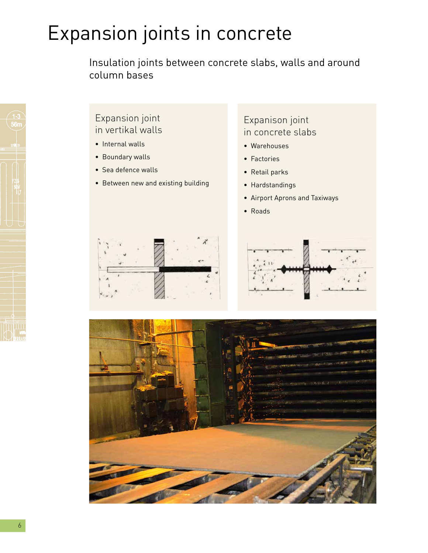# Expansion joints in concrete

Insulation joints between concrete slabs, walls and around column bases

### Expansion joint in vertikal walls

- Internal walls
- Boundary walls
- Sea defence walls
- Between new and existing building

### Expanison joint in concrete slabs

- Warehouses
- Factories
- Retail parks
- Hardstandings
- Airport Aprons and Taxiways
- Roads





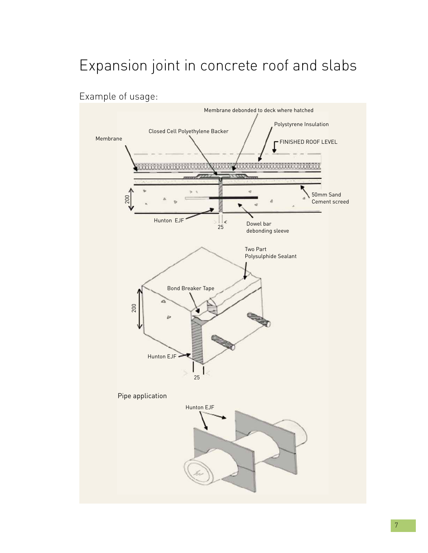# Expansion joint in concrete roof and slabs



Example of usage: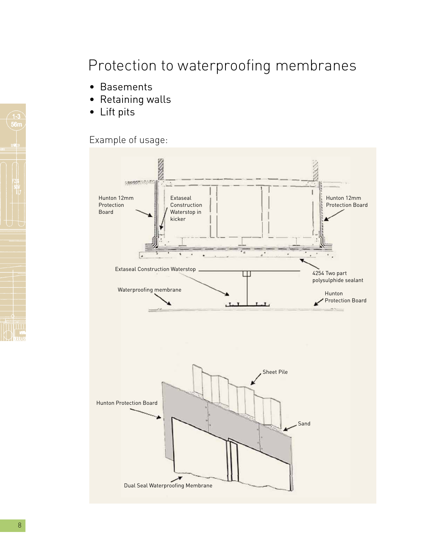## Protection to waterproofing membranes

- Basements
- Retaining walls
- Lift pits

## Example of usage:

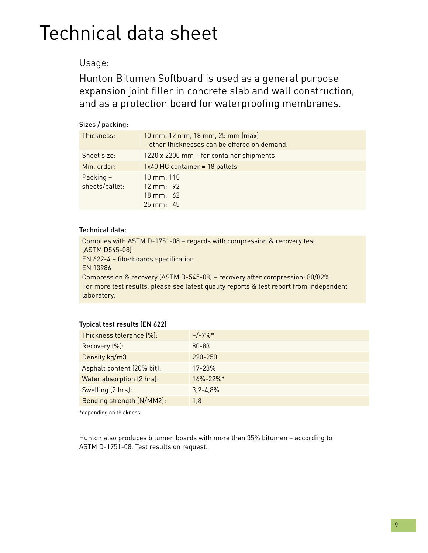# Technical data sheet

### Usage:

Hunton Bitumen Softboard is used as a general purpose expansion joint filler in concrete slab and wall construction, and as a protection board for waterproofing membranes.

#### Sizes / packing:

| Thickness:                  | 10 mm, 12 mm, 18 mm, 25 mm (max)<br>- other thicknesses can be offered on demand.             |
|-----------------------------|-----------------------------------------------------------------------------------------------|
| Sheet size:                 | 1220 x 2200 mm - for container shipments                                                      |
| Min. order:                 | 1x40 HC container = 18 pallets                                                                |
| Packing -<br>sheets/pallet: | $10 \text{ mm}$ : 110<br>$12 \text{ mm}$ : 92<br>$18 \text{ mm}$ : 62<br>$25 \text{ mm}$ : 45 |

#### Technical data:

Complies with ASTM D-1751-08 – regards with compression & recovery test (ASTM D545-08) EN 622-4 - fiberboards specification EN 13986 Compression & recovery (ASTM D-545-08) – recovery after compression: 80/82%. For more test results, please see latest quality reports & test report from independent laboratory.

#### Typical test results (EN 622)

| Thickness tolerance (%):   | $+/-7\%*$                  |
|----------------------------|----------------------------|
| Recovery (%):              | $80 - 83$                  |
| Density kg/m3              | 220-250                    |
| Asphalt content (20% bit): | $17 - 23%$                 |
| Water absorption (2 hrs):  | $16\% - 22\%$ <sup>*</sup> |
| Swelling (2 hrs):          | $3,2 - 4,8%$               |
| Bending strength (N/MM2):  | 1,8                        |
|                            |                            |

\*depending on thickness

Hunton also produces bitumen boards with more than 35% bitumen – according to ASTM D-1751-08. Test results on request.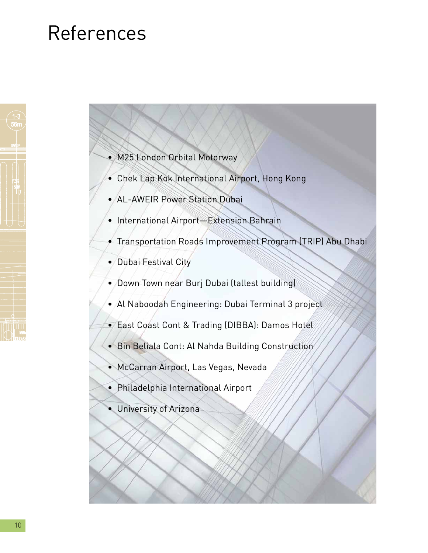# References

- M25 London Orbital Motorway
- Chek Lap Kok International Airport, Hong Kong
- AL-AWEIR Power Station Dubai
- International Airport—Extension Bahrain
- Transportation Roads Improvement Program (TRIP) Abu Dhabi
- Dubai Festival City
- Down Town near Burj Dubai (tallest building)
- Al Naboodah Engineering: Dubai Terminal 3 project
- East Coast Cont & Trading (DIBBA): Damos Hotel
- Bin Beliala Cont: Al Nahda Building Construction
- McCarran Airport, Las Vegas, Nevada
- Philadelphia International Airport
- University of Arizona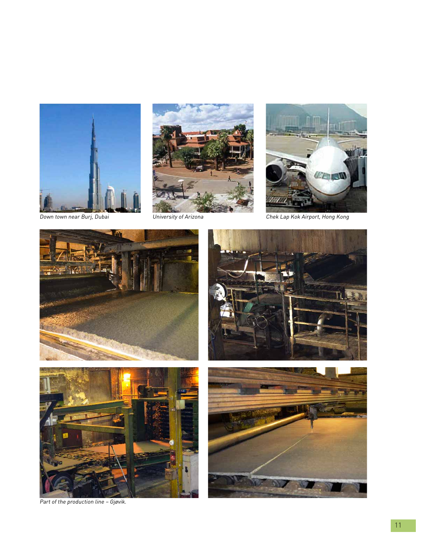





Down town near Burj, Dubai University of Arizona Chek Lap Kok Airport, Hong Kong









Part of the production line – Gjøvik.